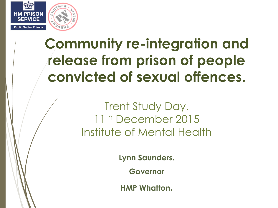

### **Community re-integration and release from prison of people convicted of sexual offences.**

Trent Study Day. 11<sup>th</sup> December 2015 Institute of Mental Health

**Lynn Saunders.** 

**Governor** 

**HMP Whatton.**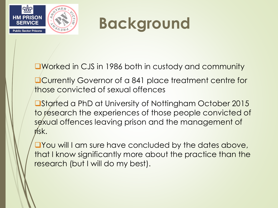

# **Background**

Worked in CJS in 1986 both in custody and community

- **ACurrently Governor of a 841 place treatment centre for** those convicted of sexual offences
- ■Started a PhD at University of Nottingham October 2015 to research the experiences of those people convicted of sexual offences leaving prison and the management of risk.
- **The Vou will I am sure have concluded by the dates above,** that I know significantly more about the practice than the research (but I will do my best).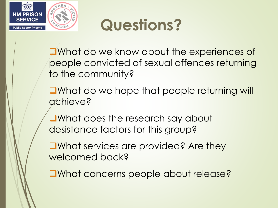



**E**What do we know about the experiences of people convicted of sexual offences returning to the community?

**O**What do we hope that people returning will achieve?

What does the research say about desistance factors for this group?

**■What services are provided? Are they** welcomed back?

■What concerns people about release?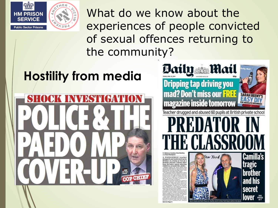

What do we know about the experiences of people convicted of sexual offences returning to the community?

### **Hostility from media**



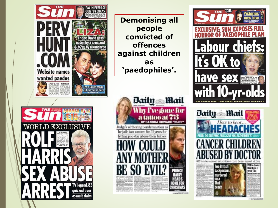

TV legend, 83 quizzed over

assault



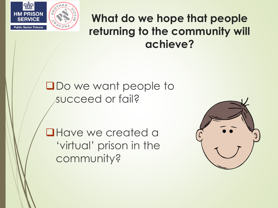

#### **What do we hope that people returning to the community will achieve?**

**ODo we want people to** succeed or fail?

**QHave we created a** 'virtual' prison in the community?

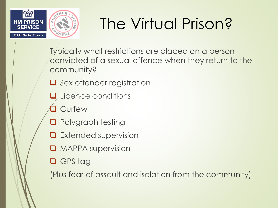

# The Virtual Prison?

Typically what restrictions are placed on a person convicted of a sexual offence when they return to the community?

- $\Box$  Sex offender registration
- **L**/Licence conditions
- **Curfew**
- **Q** Polygraph testing
- $\Box$  Extended supervision
- **Q** MAPPA supervision
- □ GPS tag

(Plus fear of assault and isolation from the community)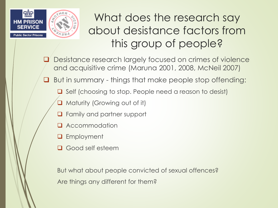

What does the research say about desistance factors from this group of people?

- Desistance research largely focused on crimes of violence and acquisitive crime (Maruna 2001, 2008, McNeil 2007)
- **Q** But in summary things that make people stop offending:
	- $\Box$  Self (choosing to stop. People need a reason to desist)
	- Maturity (Growing out of it)
	- **Q** Family and partner support
	- **Q** Accommodation
	- **Q** Employment
	- **Q** Good self esteem

But what about people convicted of sexual offences? Are things any different for them?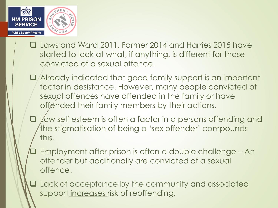

- Laws and Ward 2011, Farmer 2014 and Harries 2015 have started to look at what, if anything, is different for those convicted of a sexual offence.
- Already indicated that good family support is an important factor in desistance. However, many people convicted of sexual offences have offended in the family or have offended their family members by their actions.
- $\Box$   $\Diamond$  is not esteem is often a factor in a persons offending and the stigmatisation of being a 'sex offender' compounds this.
- Employment after prison is often a double challenge An offender but additionally are convicted of a sexual offence.
- **Q** Lack of acceptance by the community and associated support increases risk of reoffending.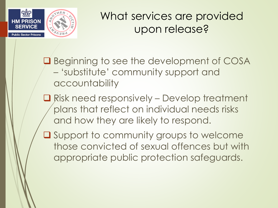

#### What services are provided upon release?

**Q** Beginning to see the development of COSA – 'substitute' community support and accountability

- Risk need responsively Develop treatment plans that reflect on individual needs risks and how they are likely to respond.
- **Q** Support to community groups to welcome those convicted of sexual offences but with appropriate public protection safeguards.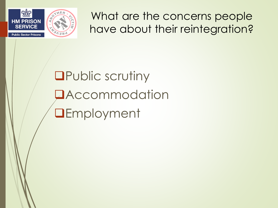

What are the concerns people have about their reintegration?

## **OPublic scrutiny DAccommodation QEmployment**